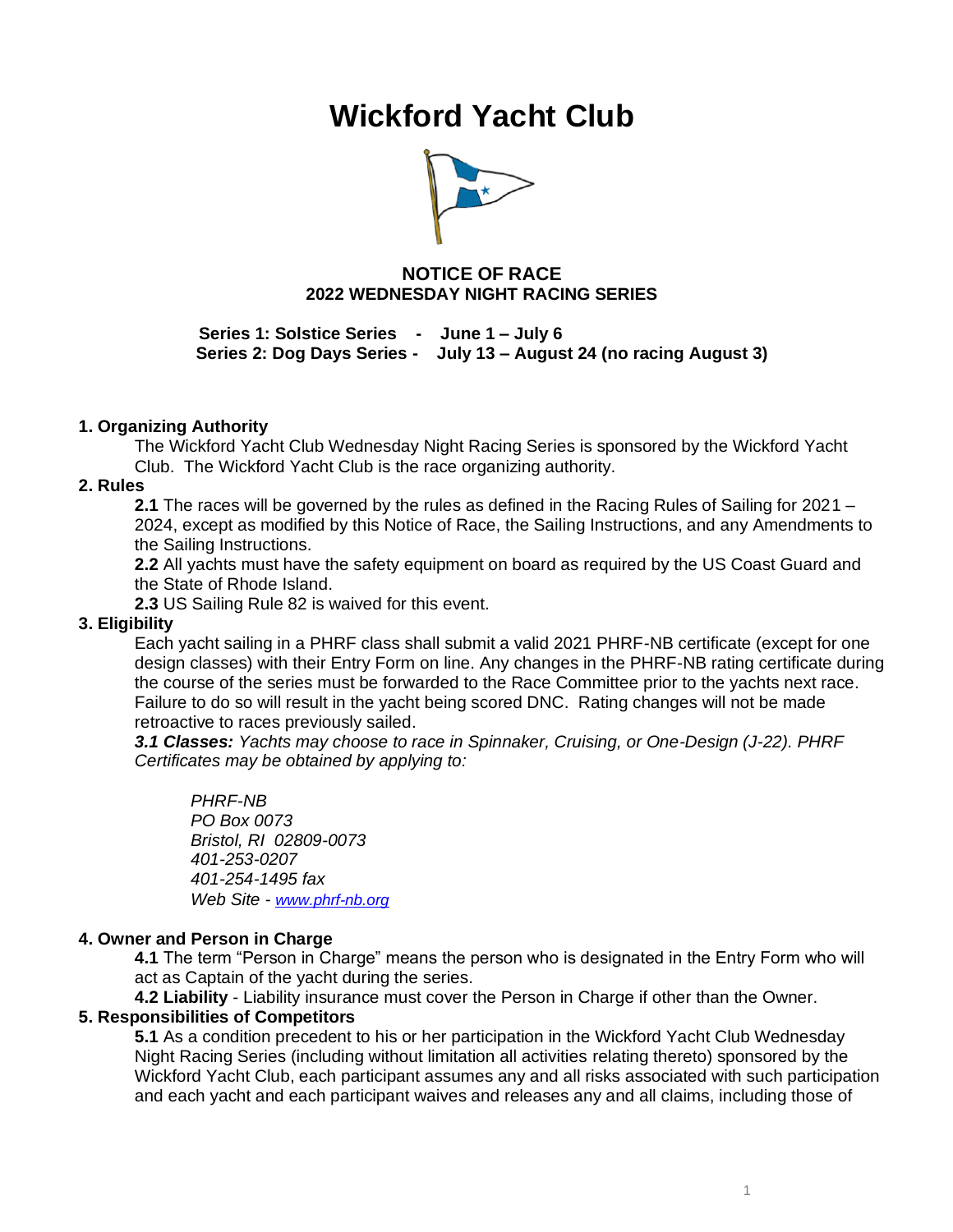# **Wickford Yacht Club**



# **NOTICE OF RACE 2022 WEDNESDAY NIGHT RACING SERIES**

**Series 1: Solstice Series - June 1 – July 6 Series 2: Dog Days Series - July 13 – August 24 (no racing August 3)**

## **1. Organizing Authority**

The Wickford Yacht Club Wednesday Night Racing Series is sponsored by the Wickford Yacht Club. The Wickford Yacht Club is the race organizing authority.

#### **2. Rules**

**2.1** The races will be governed by the rules as defined in the Racing Rules of Sailing for 2021 – 2024, except as modified by this Notice of Race, the Sailing Instructions, and any Amendments to the Sailing Instructions.

**2.2** All yachts must have the safety equipment on board as required by the US Coast Guard and the State of Rhode Island.

**2.3** US Sailing Rule 82 is waived for this event.

## **3. Eligibility**

Each yacht sailing in a PHRF class shall submit a valid 2021 PHRF-NB certificate (except for one design classes) with their Entry Form on line. Any changes in the PHRF-NB rating certificate during the course of the series must be forwarded to the Race Committee prior to the yachts next race. Failure to do so will result in the yacht being scored DNC. Rating changes will not be made retroactive to races previously sailed.

*3.1 Classes: Yachts may choose to race in Spinnaker, Cruising, or One-Design (J-22). PHRF Certificates may be obtained by applying to:*

*PHRF-NB PO Box 0073 Bristol, RI 02809-0073 401-253-0207 401-254-1495 fax Web Site - [www.phrf-nb.org](http://www.phrf-nb.org/)*

#### **4. Owner and Person in Charge**

**4.1** The term "Person in Charge" means the person who is designated in the Entry Form who will act as Captain of the yacht during the series.

**4.2 Liability** - Liability insurance must cover the Person in Charge if other than the Owner.

## **5. Responsibilities of Competitors**

**5.1** As a condition precedent to his or her participation in the Wickford Yacht Club Wednesday Night Racing Series (including without limitation all activities relating thereto) sponsored by the Wickford Yacht Club, each participant assumes any and all risks associated with such participation and each yacht and each participant waives and releases any and all claims, including those of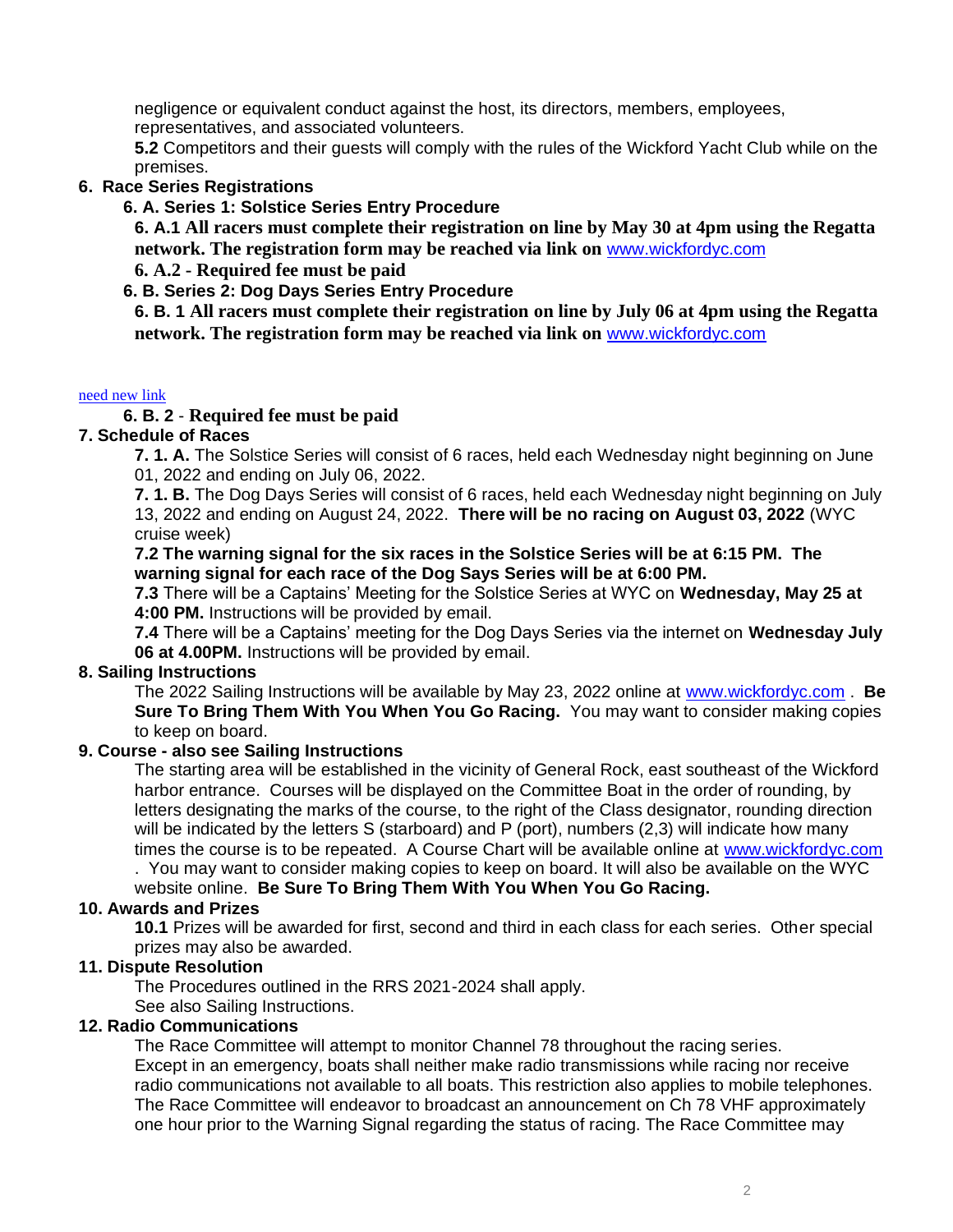negligence or equivalent conduct against the host, its directors, members, employees, representatives, and associated volunteers.

**5.2** Competitors and their guests will comply with the rules of the Wickford Yacht Club while on the premises.

## **6. Race Series Registrations**

## **6. A. Series 1: Solstice Series Entry Procedure**

**6. A.1 All racers must complete their registration on line by May 30 at 4pm using the Regatta network. The registration form may be reached via link on** [www.wickfordyc.com](http://www.wickfordyc.com/)

# **6. A.2 - Required fee must be paid**

# **6. B. Series 2: Dog Days Series Entry Procedure**

**6. B. 1 All racers must complete their registration on line by July 06 at 4pm using the Regatta network. The registration form may be reached via link on** [www.wickfordyc.com](http://www.wickfordyc.com/)

#### [need](https://www.regattanetwork.com/clubmgmt/applet_registration_form.php?regatta_id=20788) new link

# **6. B. 2** - **Required fee must be paid**

## **7. Schedule of Races**

**7. 1. A.** The Solstice Series will consist of 6 races, held each Wednesday night beginning on June 01, 2022 and ending on July 06, 2022.

**7. 1. B.** The Dog Days Series will consist of 6 races, held each Wednesday night beginning on July 13, 2022 and ending on August 24, 2022. **There will be no racing on August 03, 2022** (WYC cruise week)

#### **7.2 The warning signal for the six races in the Solstice Series will be at 6:15 PM. The warning signal for each race of the Dog Says Series will be at 6:00 PM.**

**7.3** There will be a Captains' Meeting for the Solstice Series at WYC on **Wednesday, May 25 at 4:00 PM.** Instructions will be provided by email.

**7.4** There will be a Captains' meeting for the Dog Days Series via the internet on **Wednesday July 06 at 4.00PM.** Instructions will be provided by email.

## **8. Sailing Instructions**

The 2022 Sailing Instructions will be available by May 23, 2022 online at [www.wickfordyc.com](http://www.wickfordyc.com/) . **Be Sure To Bring Them With You When You Go Racing.** You may want to consider making copies to keep on board.

## **9. Course - also see Sailing Instructions**

The starting area will be established in the vicinity of General Rock, east southeast of the Wickford harbor entrance. Courses will be displayed on the Committee Boat in the order of rounding, by letters designating the marks of the course, to the right of the Class designator, rounding direction will be indicated by the letters S (starboard) and P (port), numbers (2,3) will indicate how many times the course is to be repeated. A Course Chart will be available online at [www.wickfordyc.com](http://www.wickfordyc.com/)  . You may want to consider making copies to keep on board. It will also be available on the WYC

website online. **Be Sure To Bring Them With You When You Go Racing.** 

## **10. Awards and Prizes**

**10.1** Prizes will be awarded for first, second and third in each class for each series. Other special prizes may also be awarded.

## **11. Dispute Resolution**

The Procedures outlined in the RRS 2021-2024 shall apply.

See also Sailing Instructions.

# **12. Radio Communications**

The Race Committee will attempt to monitor Channel 78 throughout the racing series. Except in an emergency, boats shall neither make radio transmissions while racing nor receive radio communications not available to all boats. This restriction also applies to mobile telephones. The Race Committee will endeavor to broadcast an announcement on Ch 78 VHF approximately one hour prior to the Warning Signal regarding the status of racing. The Race Committee may